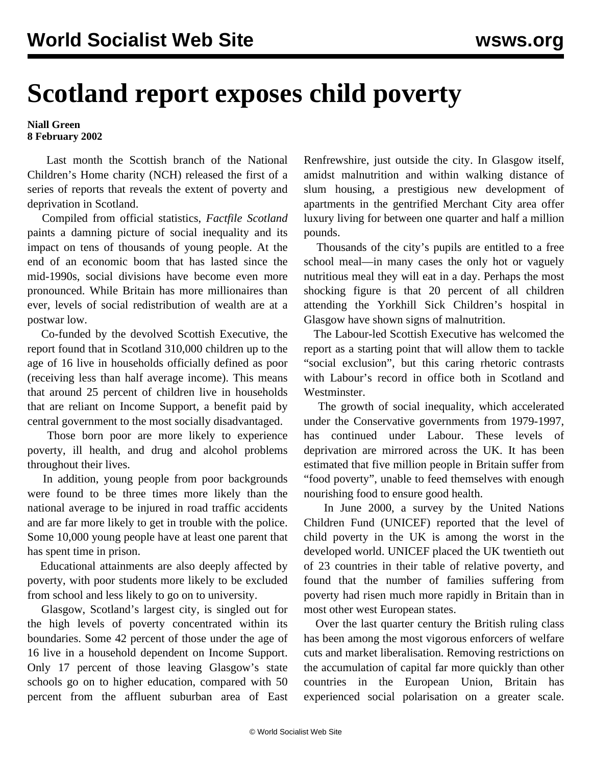## **Scotland report exposes child poverty**

## **Niall Green 8 February 2002**

 Last month the Scottish branch of the National Children's Home charity (NCH) released the first of a series of reports that reveals the extent of poverty and deprivation in Scotland.

 Compiled from official statistics, *Factfile Scotland* paints a damning picture of social inequality and its impact on tens of thousands of young people. At the end of an economic boom that has lasted since the mid-1990s, social divisions have become even more pronounced. While Britain has more millionaires than ever, levels of social redistribution of wealth are at a postwar low.

 Co-funded by the devolved Scottish Executive, the report found that in Scotland 310,000 children up to the age of 16 live in households officially defined as poor (receiving less than half average income). This means that around 25 percent of children live in households that are reliant on Income Support, a benefit paid by central government to the most socially disadvantaged.

 Those born poor are more likely to experience poverty, ill health, and drug and alcohol problems throughout their lives.

 In addition, young people from poor backgrounds were found to be three times more likely than the national average to be injured in road traffic accidents and are far more likely to get in trouble with the police. Some 10,000 young people have at least one parent that has spent time in prison.

 Educational attainments are also deeply affected by poverty, with poor students more likely to be excluded from school and less likely to go on to university.

 Glasgow, Scotland's largest city, is singled out for the high levels of poverty concentrated within its boundaries. Some 42 percent of those under the age of 16 live in a household dependent on Income Support. Only 17 percent of those leaving Glasgow's state schools go on to higher education, compared with 50 percent from the affluent suburban area of East

Renfrewshire, just outside the city. In Glasgow itself, amidst malnutrition and within walking distance of slum housing, a prestigious new development of apartments in the gentrified Merchant City area offer luxury living for between one quarter and half a million pounds.

 Thousands of the city's pupils are entitled to a free school meal—in many cases the only hot or vaguely nutritious meal they will eat in a day. Perhaps the most shocking figure is that 20 percent of all children attending the Yorkhill Sick Children's hospital in Glasgow have shown signs of malnutrition.

 The Labour-led Scottish Executive has welcomed the report as a starting point that will allow them to tackle "social exclusion", but this caring rhetoric contrasts with Labour's record in office both in Scotland and Westminster.

 The growth of social inequality, which accelerated under the Conservative governments from 1979-1997, has continued under Labour. These levels of deprivation are mirrored across the UK. It has been estimated that five million people in Britain suffer from "food poverty", unable to feed themselves with enough nourishing food to ensure good health.

 In June 2000, a survey by the United Nations Children Fund (UNICEF) reported that the level of child poverty in the UK is among the worst in the developed world. UNICEF placed the UK twentieth out of 23 countries in their table of relative poverty, and found that the number of families suffering from poverty had risen much more rapidly in Britain than in most other west European states.

 Over the last quarter century the British ruling class has been among the most vigorous enforcers of welfare cuts and market liberalisation. Removing restrictions on the accumulation of capital far more quickly than other countries in the European Union, Britain has experienced social polarisation on a greater scale.